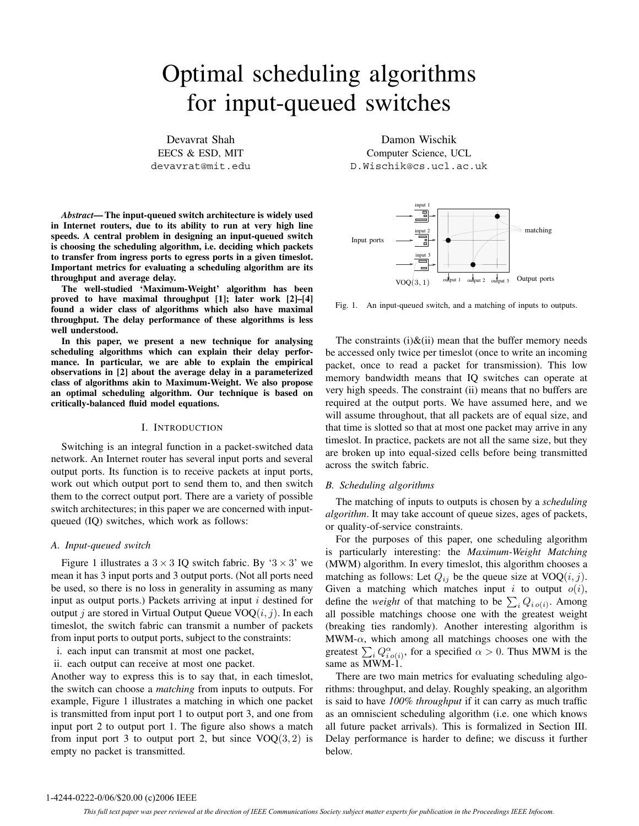# Optimal scheduling algorithms for input-queued switches

Devavrat Shah EECS & ESD, MIT devavrat@mit.edu

*Abstract***— The input-queued switch architecture is widely used in Internet routers, due to its ability to run at very high line speeds. A central problem in designing an input-queued switch is choosing the scheduling algorithm, i.e. deciding which packets to transfer from ingress ports to egress ports in a given timeslot. Important metrics for evaluating a scheduling algorithm are its throughput and average delay.**

**The well-studied 'Maximum-Weight' algorithm has been proved to have maximal throughput [1]; later work [2]–[4] found a wider class of algorithms which also have maximal throughput. The delay performance of these algorithms is less well understood.**

**In this paper, we present a new technique for analysing scheduling algorithms which can explain their delay performance. In particular, we are able to explain the empirical observations in [2] about the average delay in a parameterized class of algorithms akin to Maximum-Weight. We also propose an optimal scheduling algorithm. Our technique is based on critically-balanced fluid model equations.**

# I. INTRODUCTION

Switching is an integral function in a packet-switched data network. An Internet router has several input ports and several output ports. Its function is to receive packets at input ports, work out which output port to send them to, and then switch them to the correct output port. There are a variety of possible switch architectures; in this paper we are concerned with inputqueued (IQ) switches, which work as follows:

# *A. Input-queued switch*

Figure 1 illustrates a  $3 \times 3$  IQ switch fabric. By ' $3 \times 3$ ' we mean it has 3 input ports and 3 output ports. (Not all ports need be used, so there is no loss in generality in assuming as many input as output ports.) Packets arriving at input  $i$  destined for output j are stored in Virtual Output Queue  $VOQ(i, j)$ . In each timeslot, the switch fabric can transmit a number of packets from input ports to output ports, subject to the constraints:

- i. each input can transmit at most one packet,
- ii. each output can receive at most one packet.

Another way to express this is to say that, in each timeslot, the switch can choose a *matching* from inputs to outputs. For example, Figure 1 illustrates a matching in which one packet is transmitted from input port 1 to output port 3, and one from input port 2 to output port 1. The figure also shows a match from input port 3 to output port 2, but since  $VOQ(3, 2)$  is empty no packet is transmitted.

Damon Wischik Computer Science, UCL D.Wischik@cs.ucl.ac.uk



Fig. 1. An input-queued switch, and a matching of inputs to outputs.

The constraints  $(i)$  &  $(ii)$  mean that the buffer memory needs be accessed only twice per timeslot (once to write an incoming packet, once to read a packet for transmission). This low memory bandwidth means that IQ switches can operate at very high speeds. The constraint (ii) means that no buffers are required at the output ports. We have assumed here, and we will assume throughout, that all packets are of equal size, and that time is slotted so that at most one packet may arrive in any timeslot. In practice, packets are not all the same size, but they are broken up into equal-sized cells before being transmitted across the switch fabric.

#### *B. Scheduling algorithms*

The matching of inputs to outputs is chosen by a *scheduling algorithm*. It may take account of queue sizes, ages of packets, or quality-of-service constraints.

For the purposes of this paper, one scheduling algorithm is particularly interesting: the *Maximum-Weight Matching* (MWM) algorithm. In every timeslot, this algorithm chooses a matching as follows: Let  $Q_{ij}$  be the queue size at  $\text{VOQ}(i, j)$ . Given a matching which matches input i to output  $o(i)$ , define the *weight* of that matching to be  $\sum_i Q_{i o(i)}$ . Among all possible matchings choose one with the greatest weight (breaking ties randomly). Another interesting algorithm is MWM- $\alpha$ , which among all matchings chooses one with the greatest  $\sum_i Q_{i_0(i)}^{\alpha}$ , for a specified  $\alpha > 0$ . Thus MWM is the same as MWM-1 same as MWM-1.

There are two main metrics for evaluating scheduling algorithms: throughput, and delay. Roughly speaking, an algorithm is said to have *100% throughput* if it can carry as much traffic as an omniscient scheduling algorithm (i.e. one which knows all future packet arrivals). This is formalized in Section III. Delay performance is harder to define; we discuss it further below.

#### 1-4244-0222-0/06/\$20.00 (c)2006 IEEE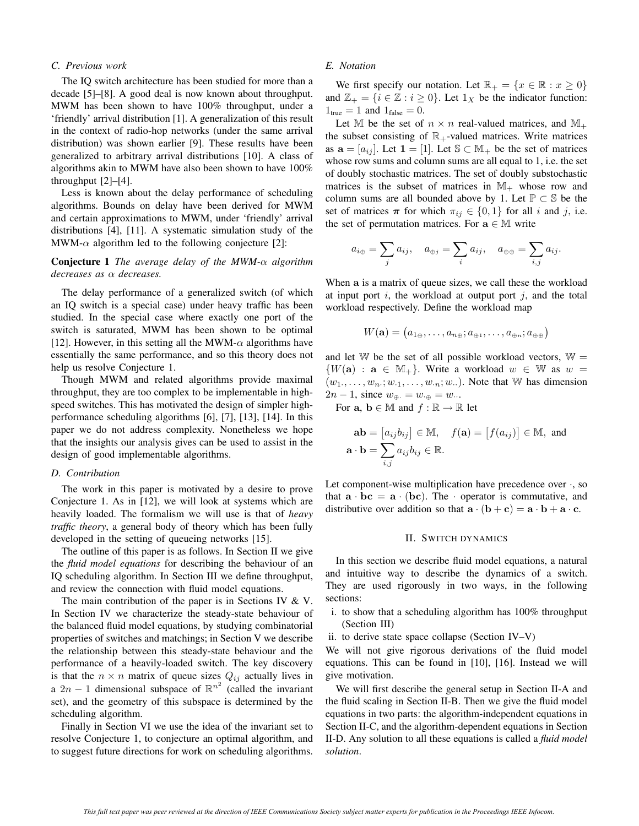#### *C. Previous work*

The IQ switch architecture has been studied for more than a decade [5]–[8]. A good deal is now known about throughput. MWM has been shown to have 100% throughput, under a 'friendly' arrival distribution [1]. A generalization of this result in the context of radio-hop networks (under the same arrival distribution) was shown earlier [9]. These results have been generalized to arbitrary arrival distributions [10]. A class of algorithms akin to MWM have also been shown to have 100% throughput [2]–[4].

Less is known about the delay performance of scheduling algorithms. Bounds on delay have been derived for MWM and certain approximations to MWM, under 'friendly' arrival distributions [4], [11]. A systematic simulation study of the MWM- $\alpha$  algorithm led to the following conjecture [2]:

# **Conjecture 1** *The average delay of the MWM-*α *algorithm decreases as* α *decreases.*

The delay performance of a generalized switch (of which an IQ switch is a special case) under heavy traffic has been studied. In the special case where exactly one port of the switch is saturated, MWM has been shown to be optimal [12]. However, in this setting all the MWM- $\alpha$  algorithms have essentially the same performance, and so this theory does not help us resolve Conjecture 1.

Though MWM and related algorithms provide maximal throughput, they are too complex to be implementable in highspeed switches. This has motivated the design of simpler highperformance scheduling algorithms [6], [7], [13], [14]. In this paper we do not address complexity. Nonetheless we hope that the insights our analysis gives can be used to assist in the design of good implementable algorithms.

# *D. Contribution*

The work in this paper is motivated by a desire to prove Conjecture 1. As in [12], we will look at systems which are heavily loaded. The formalism we will use is that of *heavy traffic theory*, a general body of theory which has been fully developed in the setting of queueing networks [15].

The outline of this paper is as follows. In Section II we give the *fluid model equations* for describing the behaviour of an IQ scheduling algorithm. In Section III we define throughput, and review the connection with fluid model equations.

The main contribution of the paper is in Sections IV  $&V$ . In Section IV we characterize the steady-state behaviour of the balanced fluid model equations, by studying combinatorial properties of switches and matchings; in Section V we describe the relationship between this steady-state behaviour and the performance of a heavily-loaded switch. The key discovery is that the  $n \times n$  matrix of queue sizes  $Q_{ij}$  actually lives in a 2n − 1 dimensional subspace of  $\mathbb{R}^{n^2}$  (called the invariant set) and the geometry of this subspace is determined by the set), and the geometry of this subspace is determined by the scheduling algorithm.

Finally in Section VI we use the idea of the invariant set to resolve Conjecture 1, to conjecture an optimal algorithm, and to suggest future directions for work on scheduling algorithms.

#### *E. Notation*

We first specify our notation. Let  $\mathbb{R}_+ = \{x \in \mathbb{R} : x \geq 0\}$ and  $\mathbb{Z}_+ = \{i \in \mathbb{Z} : i \geq 0\}$ . Let  $1_X$  be the indicator function:  $1<sub>true</sub> = 1$  and  $1<sub>false</sub> = 0$ .

Let M be the set of  $n \times n$  real-valued matrices, and M<sub>+</sub> the subset consisting of  $\mathbb{R}_+$ -valued matrices. Write matrices as  $\mathbf{a} = [a_{ij}]$ . Let  $\mathbf{1} = [1]$ . Let  $\mathbb{S} \subset \mathbb{M}_+$  be the set of matrices whose row sums and column sums are all equal to 1, i.e. the set of doubly stochastic matrices. The set of doubly substochastic matrices is the subset of matrices in  $\mathbb{M}_{+}$  whose row and column sums are all bounded above by 1. Let  $\mathbb{P} \subset \mathbb{S}$  be the set of matrices  $\pi$  for which  $\pi_{ij} \in \{0,1\}$  for all i and j, i.e. the set of permutation matrices. For  $a \in M$  write

$$
a_{i\oplus} = \sum_j a_{ij}, \quad a_{\oplus j} = \sum_i a_{ij}, \quad a_{\oplus \oplus} = \sum_{i,j} a_{ij}.
$$

When **a** is a matrix of queue sizes, we call these the workload at input port  $i$ , the workload at output port  $j$ , and the total workload respectively. Define the workload map

$$
W(\mathbf{a}) = (a_{1\oplus}, \dots, a_{n\oplus}; a_{\oplus 1}, \dots, a_{\oplus n}; a_{\oplus \oplus})
$$

and let W be the set of all possible workload vectors,  $W =$  $\{W(\mathbf{a}) : \mathbf{a} \in \mathbb{M}_+\}$ . Write a workload  $w \in \mathbb{W}$  as  $w =$  $(w_1,\ldots,w_n; w_{1},\ldots,w_{n}; w_{n})$ . Note that W has dimension 2n − 1, since  $w_{\oplus} = w_{\oplus} = w_{\cdots}$ 

For **a**,  $\mathbf{b} \in \mathbb{M}$  and  $f : \mathbb{R} \to \mathbb{R}$  let

$$
\mathbf{ab} = [a_{ij}b_{ij}] \in \mathbb{M}, \quad f(\mathbf{a}) = [f(a_{ij})] \in \mathbb{M}, \text{ and}
$$

$$
\mathbf{a} \cdot \mathbf{b} = \sum_{i,j} a_{ij}b_{ij} \in \mathbb{R}.
$$

Let component-wise multiplication have precedence over  $\cdot$ , so that  $\mathbf{a} \cdot \mathbf{b} \mathbf{c} = \mathbf{a} \cdot (\mathbf{b} \mathbf{c})$ . The  $\cdot$  operator is commutative, and distributive over addition so that  $\mathbf{a} \cdot (\mathbf{b} + \mathbf{c}) = \mathbf{a} \cdot \mathbf{b} + \mathbf{a} \cdot \mathbf{c}$ .

### II. SWITCH DYNAMICS

In this section we describe fluid model equations, a natural and intuitive way to describe the dynamics of a switch. They are used rigorously in two ways, in the following sections:

- i. to show that a scheduling algorithm has 100% throughput (Section III)
- ii. to derive state space collapse (Section IV–V)

We will not give rigorous derivations of the fluid model equations. This can be found in [10], [16]. Instead we will give motivation.

We will first describe the general setup in Section II-A and the fluid scaling in Section II-B. Then we give the fluid model equations in two parts: the algorithm-independent equations in Section II-C, and the algorithm-dependent equations in Section II-D. Any solution to all these equations is called a *fluid model solution*.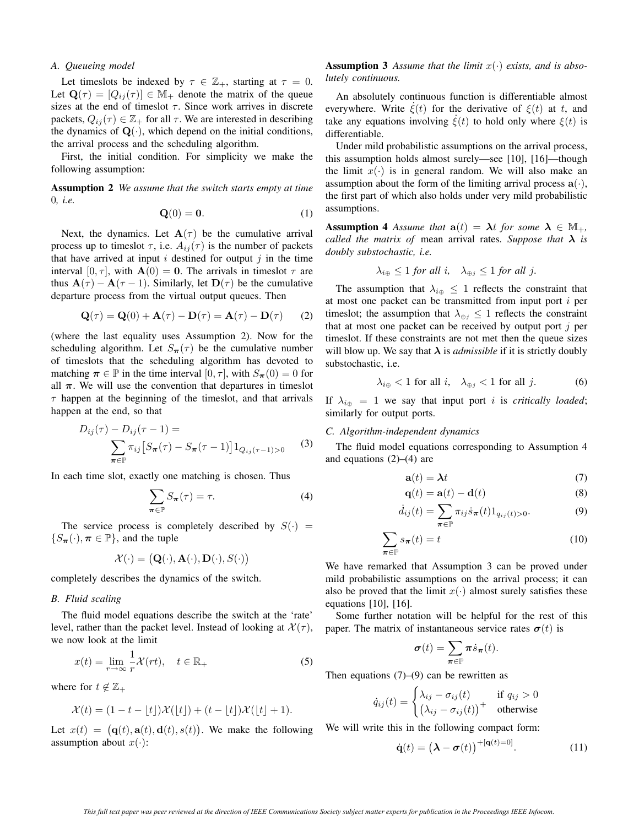#### *A. Queueing model*

Let timeslots be indexed by  $\tau \in \mathbb{Z}_+$ , starting at  $\tau = 0$ . Let  $\mathbf{Q}(\tau)=[Q_{ij}(\tau)]\in \mathbb{M}_+$  denote the matrix of the queue sizes at the end of timeslot  $\tau$ . Since work arrives in discrete packets,  $Q_{ij}(\tau) \in \mathbb{Z}_+$  for all  $\tau$ . We are interested in describing the dynamics of  $\mathbf{Q}(\cdot)$ , which depend on the initial conditions, the arrival process and the scheduling algorithm.

First, the initial condition. For simplicity we make the following assumption:

**Assumption 2** *We assume that the switch starts empty at time* 0*, i.e.*

$$
\mathbf{Q}(0) = \mathbf{0}.\tag{1}
$$

Next, the dynamics. Let  $A(\tau)$  be the cumulative arrival process up to timeslot  $\tau$ , i.e.  $A_{ij}(\tau)$  is the number of packets that have arrived at input  $i$  destined for output  $j$  in the time interval  $[0, \tau]$ , with  $\mathbf{A}(0) = \mathbf{0}$ . The arrivals in timeslot  $\tau$  are thus  $\mathbf{A}(\tau) - \mathbf{A}(\tau - 1)$ . Similarly, let  $\mathbf{D}(\tau)$  be the cumulative departure process from the virtual output queues. Then

$$
\mathbf{Q}(\tau) = \mathbf{Q}(0) + \mathbf{A}(\tau) - \mathbf{D}(\tau) = \mathbf{A}(\tau) - \mathbf{D}(\tau) \qquad (2)
$$

(where the last equality uses Assumption 2). Now for the scheduling algorithm. Let  $S_{\pi}(\tau)$  be the cumulative number of timeslots that the scheduling algorithm has devoted to matching  $\pi \in \mathbb{P}$  in the time interval  $[0, \tau]$ , with  $S_{\pi}(0) = 0$  for all  $\pi$ . We will use the convention that departures in timeslot  $\tau$  happen at the beginning of the timeslot, and that arrivals happen at the end, so that

$$
D_{ij}(\tau) - D_{ij}(\tau - 1) = \sum_{\pi \in \mathbb{P}} \pi_{ij} \left[ S_{\pi}(\tau) - S_{\pi}(\tau - 1) \right] 1_{Q_{ij}(\tau - 1) > 0} \tag{3}
$$

In each time slot, exactly one matching is chosen. Thus

$$
\sum_{\pi \in \mathbb{P}} S_{\pi}(\tau) = \tau.
$$
 (4)

The service process is completely described by  $S(\cdot)$  =  ${S_{\pi}(\cdot), \pi \in \mathbb{P}}$ , and the tuple

$$
\mathcal{X}(\cdot) = (\mathbf{Q}(\cdot), \mathbf{A}(\cdot), \mathbf{D}(\cdot), S(\cdot))
$$

completely describes the dynamics of the switch.

#### *B. Fluid scaling*

The fluid model equations describe the switch at the 'rate' level, rather than the packet level. Instead of looking at  $\mathcal{X}(\tau)$ , we now look at the limit

$$
x(t) = \lim_{r \to \infty} \frac{1}{r} \mathcal{X}(rt), \quad t \in \mathbb{R}_+
$$
 (5)

where for  $t \notin \mathbb{Z}_+$ 

$$
\mathcal{X}(t) = (1 - t - \lfloor t \rfloor) \mathcal{X}(\lfloor t \rfloor) + (t - \lfloor t \rfloor) \mathcal{X}(\lfloor t \rfloor + 1).
$$

Let  $x(t) = (\mathbf{q}(t), \mathbf{a}(t), \mathbf{d}(t), s(t))$ . We make the following assumption about  $x(t)$ . assumption about  $x(\cdot)$ :

**Assumption 3** *Assume that the limit* <sup>x</sup>(·) *exists, and is absolutely continuous.*

An absolutely continuous function is differentiable almost everywhere. Write  $\xi(t)$  for the derivative of  $\xi(t)$  at t, and<br>take any equations involving  $\xi(t)$  to hold only where  $\xi(t)$  is take any equations involving  $\xi(t)$  to hold only where  $\xi(t)$  is<br>differentiable differentiable.

Under mild probabilistic assumptions on the arrival process, this assumption holds almost surely—see [10], [16]—though the limit  $x(\cdot)$  is in general random. We will also make an assumption about the form of the limiting arrival process  $\mathbf{a}(\cdot)$ , the first part of which also holds under very mild probabilistic assumptions.

**Assumption 4** *Assume that*  $a(t) = \lambda t$  *for some*  $\lambda \in M_+$ *, called the matrix of mean arrival rates. Suppose that*  $\lambda$  *is doubly substochastic, i.e.*

$$
\lambda_{i\oplus} \leq 1 \text{ for all } i, \quad \lambda_{\oplus j} \leq 1 \text{ for all } j.
$$

The assumption that  $\lambda_{i \oplus} \leq 1$  reflects the constraint that at most one packet can be transmitted from input port  $i$  per timeslot; the assumption that  $\lambda_{\oplus j} \leq 1$  reflects the constraint that at most one packet can be received by output port  $j$  per timeslot. If these constraints are not met then the queue sizes will blow up. We say that  $\lambda$  is *admissible* if it is strictly doubly substochastic, i.e.

$$
\lambda_{i\oplus} < 1 \text{ for all } i, \quad \lambda_{\oplus j} < 1 \text{ for all } j. \tag{6}
$$

If  $\lambda_{i\oplus} = 1$  we say that input port *i* is *critically loaded*; similarly for output ports.

### *C. Algorithm-independent dynamics*

The fluid model equations corresponding to Assumption 4 and equations  $(2)$ – $(4)$  are

$$
\mathbf{a}(t) = \lambda t \tag{7}
$$

$$
\mathbf{q}(t) = \mathbf{a}(t) - \mathbf{d}(t)
$$
 (8)

$$
\dot{d}_{ij}(t) = \sum_{\pi \in \mathbb{P}} \pi_{ij} \dot{s}_{\pi}(t) 1_{q_{ij}(t) > 0}.
$$
 (9)

$$
\sum_{\pi \in \mathbb{P}} s_{\pi}(t) = t \tag{10}
$$

We have remarked that Assumption 3 can be proved under mild probabilistic assumptions on the arrival process; it can also be proved that the limit  $x(\cdot)$  almost surely satisfies these equations [10], [16].

Some further notation will be helpful for the rest of this paper. The matrix of instantaneous service rates  $\sigma(t)$  is

$$
\boldsymbol{\sigma}(t) = \sum_{\boldsymbol{\pi} \in \mathbb{P}} \boldsymbol{\pi} \dot{s}_{\boldsymbol{\pi}}(t).
$$

Then equations  $(7)$ – $(9)$  can be rewritten as

$$
\dot{q}_{ij}(t) = \begin{cases} \lambda_{ij} - \sigma_{ij}(t) & \text{if } q_{ij} > 0\\ (\lambda_{ij} - \sigma_{ij}(t))^{+} & \text{otherwise} \end{cases}
$$

We will write this in the following compact form:

$$
\dot{\mathbf{q}}(t) = \left(\boldsymbol{\lambda} - \boldsymbol{\sigma}(t)\right)^{+[\mathbf{q}(t)=0]}.\tag{11}
$$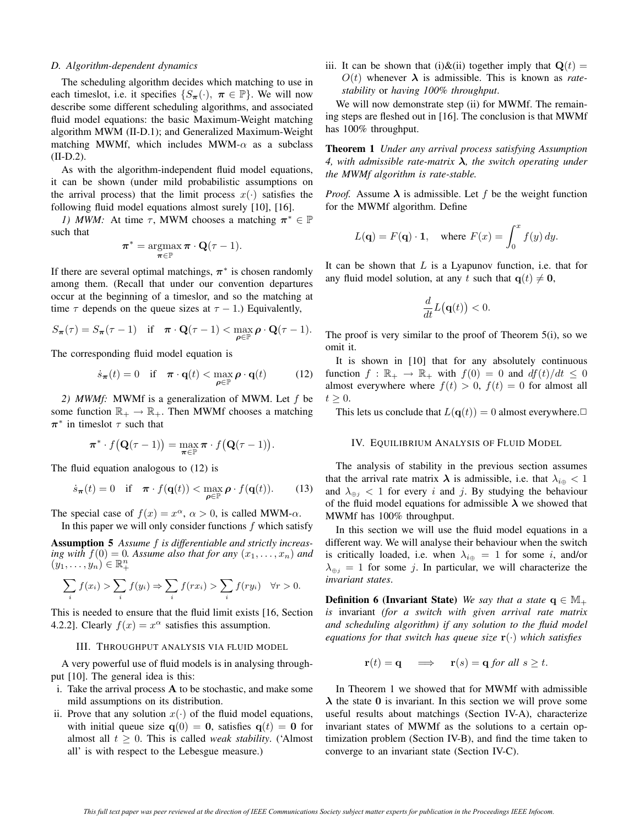#### *D. Algorithm-dependent dynamics*

The scheduling algorithm decides which matching to use in each timeslot, i.e. it specifies  $\{S_\pi(\cdot), \pi \in \mathbb{P}\}\)$ . We will now describe some different scheduling algorithms, and associated fluid model equations: the basic Maximum-Weight matching algorithm MWM (II-D.1); and Generalized Maximum-Weight matching MWMf, which includes MWM- $\alpha$  as a subclass  $(II-D.2).$ 

As with the algorithm-independent fluid model equations, it can be shown (under mild probabilistic assumptions on the arrival process) that the limit process  $x(\cdot)$  satisfies the following fluid model equations almost surely [10], [16].

*1) MWM:* At time  $\tau$ , MWM chooses a matching  $\pi^* \in \mathbb{P}$ such that

$$
\pi^* = \operatornamewithlimits{argmax}_{\pi \in \mathbb{P}} \pi \cdot \mathbf{Q}(\tau - 1).
$$

If there are several optimal matchings,  $\pi^*$  is chosen randomly among them. (Recall that under our convention departures occur at the beginning of a timeslor, and so the matching at time  $\tau$  depends on the queue sizes at  $\tau - 1$ .) Equivalently,

$$
S_{\pmb{\pi}}(\tau) = S_{\pmb{\pi}}(\tau-1) \quad \text{if} \quad \pmb{\pi} \cdot \mathbf{Q}(\tau-1) < \max_{\pmb{\rho} \in \mathbb{P}} \pmb{\rho} \cdot \mathbf{Q}(\tau-1).
$$

The corresponding fluid model equation is

$$
\dot{s}_{\boldsymbol{\pi}}(t) = 0 \quad \text{if} \quad \boldsymbol{\pi} \cdot \mathbf{q}(t) < \max_{\boldsymbol{\rho} \in \mathbb{P}} \boldsymbol{\rho} \cdot \mathbf{q}(t) \tag{12}
$$

*2) MWMf:* MWMf is a generalization of MWM. Let f be some function  $\mathbb{R}_+ \to \mathbb{R}_+$ . Then MWMf chooses a matching  $\pi^*$  in timeslot  $\tau$  such that

$$
\boldsymbol{\pi}^* \cdot f\big(\mathbf{Q}(\tau-1)\big) = \max_{\boldsymbol{\pi} \in \mathbb{P}} \boldsymbol{\pi} \cdot f\big(\mathbf{Q}(\tau-1)\big).
$$

The fluid equation analogous to (12) is

$$
\dot{s}_{\boldsymbol{\pi}}(t) = 0 \quad \text{if} \quad \boldsymbol{\pi} \cdot f(\mathbf{q}(t)) < \max_{\boldsymbol{\rho} \in \mathbb{P}} \boldsymbol{\rho} \cdot f(\mathbf{q}(t)). \tag{13}
$$

The special case of  $f(x) = x^{\alpha}, \alpha > 0$ , is called MWM- $\alpha$ .

In this paper we will only consider functions  $f$  which satisfy

**Assumption 5** *Assume* f *is differentiable and strictly increasing with*  $f(0) = 0$ *. Assume also that for any*  $(x_1, \ldots, x_n)$  *and*  $(y_1,\ldots,y_n)\in\mathbb{R}^n_+$ 

$$
\sum_{i} f(x_i) > \sum_{i} f(y_i) \Rightarrow \sum_{i} f(rx_i) > \sum_{i} f(ry_i) \quad \forall r > 0.
$$

This is needed to ensure that the fluid limit exists [16, Section 4.2.2]. Clearly  $f(x) = x^{\alpha}$  satisfies this assumption.

#### III. THROUGHPUT ANALYSIS VIA FLUID MODEL

A very powerful use of fluid models is in analysing throughput [10]. The general idea is this:

- i. Take the arrival process **A** to be stochastic, and make some mild assumptions on its distribution.
- ii. Prove that any solution  $x(\cdot)$  of the fluid model equations, with initial queue size  $q(0) = 0$ , satisfies  $q(t) = 0$  for almost all  $t \geq 0$ . This is called *weak stability*. ('Almost all' is with respect to the Lebesgue measure.)

iii. It can be shown that (i) $\&$ (ii) together imply that  $Q(t)$  =  $O(t)$  whenever  $\lambda$  is admissible. This is known as *ratestability* or *having 100% throughput*.

We will now demonstrate step (ii) for MWMf. The remaining steps are fleshed out in [16]. The conclusion is that MWMf has 100% throughput.

**Theorem 1** *Under any arrival process satisfying Assumption 4, with admissible rate-matrix λ, the switch operating under the MWMf algorithm is rate-stable.*

*Proof.* Assume  $\lambda$  is admissible. Let f be the weight function for the MWMf algorithm. Define

$$
L(\mathbf{q}) = F(\mathbf{q}) \cdot \mathbf{1}
$$
, where  $F(x) = \int_0^x f(y) dy$ .

It can be shown that  $L$  is a Lyapunov function, i.e. that for any fluid model solution, at any t such that  $q(t) \neq 0$ ,

$$
\frac{d}{dt}L(\mathbf{q}(t)) < 0.
$$

The proof is very similar to the proof of Theorem 5(i), so we omit it.

It is shown in [10] that for any absolutely continuous function  $f : \mathbb{R}_+ \to \mathbb{R}_+$  with  $f(0) = 0$  and  $df(t)/dt \leq 0$ almost everywhere where  $f(t) > 0$ ,  $f(t) = 0$  for almost all  $t \geq 0$ .

This lets us conclude that  $L(\mathbf{q}(t)) = 0$  almost everywhere. $\Box$ 

#### IV. EQUILIBRIUM ANALYSIS OF FLUID MODEL

The analysis of stability in the previous section assumes that the arrival rate matrix  $\lambda$  is admissible, i.e. that  $\lambda_{i \oplus} < 1$ and  $\lambda_{\oplus i}$  < 1 for every i and j. By studying the behaviour of the fluid model equations for admissible  $\lambda$  we showed that MWMf has 100% throughput.

In this section we will use the fluid model equations in a different way. We will analyse their behaviour when the switch is critically loaded, i.e. when  $\lambda_{i\oplus} = 1$  for some i, and/or  $\lambda_{\oplus j} = 1$  for some j. In particular, we will characterize the *invariant states*.

**Definition 6 (Invariant State)** *We say that a state*  $q \in M_+$ *is* invariant *(for a switch with given arrival rate matrix and scheduling algorithm) if any solution to the fluid model equations for that switch has queue size* **<sup>r</sup>**(·) *which satisfies*

$$
\mathbf{r}(t) = \mathbf{q} \quad \Longrightarrow \quad \mathbf{r}(s) = \mathbf{q} \text{ for all } s \geq t.
$$

In Theorem 1 we showed that for MWMf with admissible *λ* the state **0** is invariant. In this section we will prove some useful results about matchings (Section IV-A), characterize invariant states of MWMf as the solutions to a certain optimization problem (Section IV-B), and find the time taken to converge to an invariant state (Section IV-C).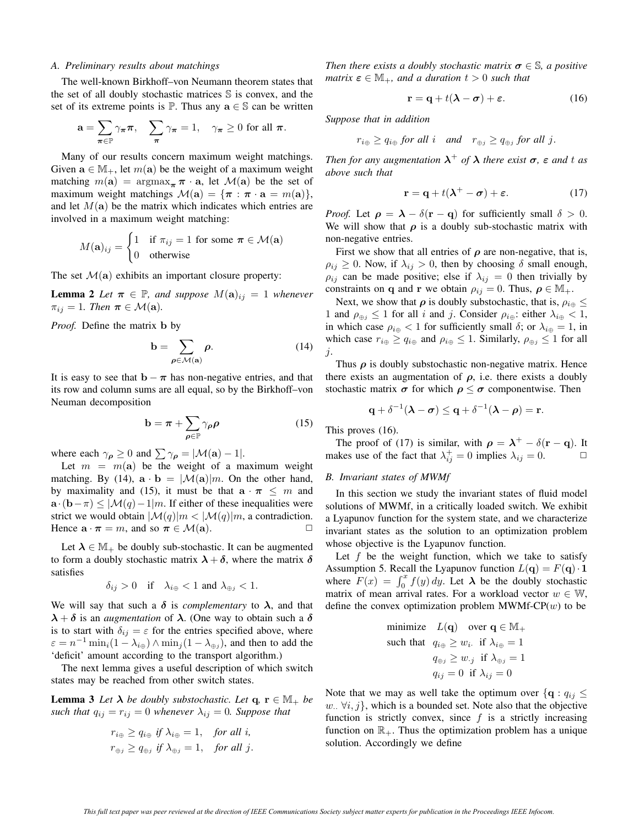### *A. Preliminary results about matchings*

The well-known Birkhoff–von Neumann theorem states that the set of all doubly stochastic matrices S is convex, and the set of its extreme points is  $\mathbb{P}$ . Thus any  $a \in \mathbb{S}$  can be written

$$
\mathbf{a} = \sum_{\pi \in \mathbb{P}} \gamma_{\pi} \pi, \quad \sum_{\pi} \gamma_{\pi} = 1, \quad \gamma_{\pi} \ge 0 \text{ for all } \pi.
$$

Many of our results concern maximum weight matchings. Given  $\mathbf{a} \in \mathbb{M}_+$ , let  $m(\mathbf{a})$  be the weight of a maximum weight matching  $m(\mathbf{a}) = \argmax_{\pi} \pi \cdot \mathbf{a}$ , let  $\mathcal{M}(\mathbf{a})$  be the set of maximum weight matchings  $\mathcal{M}(\mathbf{a}) = {\pi : \pi \cdot \mathbf{a} = m(\mathbf{a})}$ , and let  $M(a)$  be the matrix which indicates which entries are involved in a maximum weight matching:

$$
M(\mathbf{a})_{ij} = \begin{cases} 1 & \text{if } \pi_{ij} = 1 \text{ for some } \pi \in \mathcal{M}(\mathbf{a}) \\ 0 & \text{otherwise} \end{cases}
$$

The set  $\mathcal{M}(\mathbf{a})$  exhibits an important closure property:

**Lemma 2** *Let*  $\pi \in \mathbb{P}$ *, and suppose*  $M(\mathbf{a})_{ij} = 1$  *whenever*  $\pi_{ij} = 1$ *. Then*  $\pi \in \mathcal{M}(\mathbf{a})$ *.* 

*Proof.* Define the matrix **b** by

$$
\mathbf{b} = \sum_{\boldsymbol{\rho} \in \mathcal{M}(\mathbf{a})} \boldsymbol{\rho}.\tag{14}
$$

It is easy to see that  $\mathbf{b} - \pi$  has non-negative entries, and that its row and column sums are all equal, so by the Birkhoff–von Neuman decomposition

$$
\mathbf{b} = \boldsymbol{\pi} + \sum_{\boldsymbol{\rho} \in \mathbb{P}} \gamma_{\boldsymbol{\rho}} \boldsymbol{\rho} \tag{15}
$$

where each  $\gamma_{\rho} \ge 0$  and  $\sum \gamma_{\rho} = |\mathcal{M}(\mathbf{a}) - 1|$ .

Let  $m = m(a)$  be the weight of a maximum weight matching. By (14),  $\mathbf{a} \cdot \mathbf{b} = |\mathcal{M}(\mathbf{a})| m$ . On the other hand, by maximality and (15), it must be that  $\mathbf{a} \cdot \pi \leq m$  and  $\mathbf{a} \cdot (\mathbf{b}-\pi) \leq |\mathcal{M}(q)-1|m$ . If either of these inequalities were strict we would obtain  $|\mathcal{M}(q)|m < |\mathcal{M}(q)|m$ , a contradiction.<br>Hence  $\mathbf{a} \cdot \boldsymbol{\pi} = m$ , and so  $\boldsymbol{\pi} \in \mathcal{M}(\mathbf{a})$ . Hence  $\mathbf{a} \cdot \boldsymbol{\pi} = m$ , and so  $\boldsymbol{\pi} \in \mathcal{M}(\mathbf{a})$ .

Let  $\lambda \in M_+$  be doubly sub-stochastic. It can be augmented to form a doubly stochastic matrix  $\lambda + \delta$ , where the matrix  $\delta$ satisfies

$$
\delta_{ij} > 0 \quad \text{if} \quad \lambda_{i\oplus} < 1 \text{ and } \lambda_{\oplus j} < 1.
$$

We will say that such a  $\delta$  is *complementary* to  $\lambda$ , and that *<sup>λ</sup>* + *<sup>δ</sup>* is an *augmentation* of *<sup>λ</sup>*. (One way to obtain such a *<sup>δ</sup>* is to start with  $\delta_{ij} = \varepsilon$  for the entries specified above, where  $\varepsilon = n^{-1} \min_i (1 - \lambda_{i \oplus}) \wedge \min_i (1 - \lambda_{i \oplus i})$ , and then to add the 'deficit' amount according to the transport algorithm.)

The next lemma gives a useful description of which switch states may be reached from other switch states.

**Lemma 3** *Let*  $\lambda$  *be doubly substochastic. Let*  $q$ *,*  $r \in M_+$  *be such that*  $q_{ij} = r_{ij} = 0$  *whenever*  $\lambda_{ij} = 0$ *. Suppose that* 

$$
r_{i\oplus} \ge q_{i\oplus} \text{ if } \lambda_{i\oplus} = 1, \text{ for all } i,
$$
  

$$
r_{\oplus j} \ge q_{\oplus j} \text{ if } \lambda_{\oplus j} = 1, \text{ for all } j.
$$

*Then there exists a doubly stochastic matrix*  $\sigma \in \mathbb{S}$ *, a positive matrix*  $\varepsilon \in M_+$ *, and a duration*  $t > 0$  *such that* 

$$
\mathbf{r} = \mathbf{q} + t(\boldsymbol{\lambda} - \boldsymbol{\sigma}) + \boldsymbol{\varepsilon}.
$$
 (16)

*Suppose that in addition*

$$
r_{i\oplus} \ge q_{i\oplus}
$$
 for all  $i$  and  $r_{\oplus j} \ge q_{\oplus j}$  for all  $j$ .

*Then for any augmentation*  $\lambda^+$  *of*  $\lambda$  *there exist*  $\sigma$ *,*  $\epsilon$  *and t as above such that*

$$
\mathbf{r} = \mathbf{q} + t(\boldsymbol{\lambda}^+ - \boldsymbol{\sigma}) + \boldsymbol{\varepsilon}.\tag{17}
$$

*Proof.* Let  $\rho = \lambda - \delta(\mathbf{r} - \mathbf{q})$  for sufficiently small  $\delta > 0$ . We will show that  $\rho$  is a doubly sub-stochastic matrix with non-negative entries.

First we show that all entries of  $\rho$  are non-negative, that is,  $\rho_{ij} \geq 0$ . Now, if  $\lambda_{ij} > 0$ , then by choosing  $\delta$  small enough,  $\rho_{ij}$  can be made positive; else if  $\lambda_{ij} = 0$  then trivially by constraints on **q** and **r** we obtain  $\rho_{ij} = 0$ . Thus,  $\rho \in M_+$ .

Next, we show that  $\rho$  is doubly substochastic, that is,  $\rho_{i\oplus} \leq$ 1 and  $\rho_{\oplus j} \le 1$  for all i and j. Consider  $\rho_{i\oplus}$ : either  $\lambda_{i\oplus} < 1$ , in which case  $\rho_{i\oplus} < 1$  for sufficiently small  $\delta$ ; or  $\lambda_{i\oplus} = 1$ , in which case  $r_{i\oplus} \ge q_{i\oplus}$  and  $\rho_{i\oplus} \le 1$ . Similarly,  $\rho_{\oplus j} \le 1$  for all j.

Thus  $\rho$  is doubly substochastic non-negative matrix. Hence there exists an augmentation of  $\rho$ , i.e. there exists a doubly stochastic matrix  $\sigma$  for which  $\rho \leq \sigma$  componentwise. Then

$$
\mathbf{q} + \delta^{-1}(\boldsymbol{\lambda} - \boldsymbol{\sigma}) \leq \mathbf{q} + \delta^{-1}(\boldsymbol{\lambda} - \boldsymbol{\rho}) = \mathbf{r}.
$$

This proves (16).

The proof of (17) is similar, with  $\rho = \lambda^+ - \delta(\mathbf{r} - \mathbf{q})$ . It akes use of the fact that  $\lambda^+ = 0$  implies  $\lambda_{ij} = 0$ . makes use of the fact that  $\lambda_{ij}^+ = 0$  implies  $\lambda_{ij} = 0$ .  $\Box$ 

## *B. Invariant states of MWMf*

In this section we study the invariant states of fluid model solutions of MWMf, in a critically loaded switch. We exhibit a Lyapunov function for the system state, and we characterize invariant states as the solution to an optimization problem whose objective is the Lyapunov function.

Let  $f$  be the weight function, which we take to satisfy Assumption 5. Recall the Lyapunov function  $L(\mathbf{q}) = F(\mathbf{q}) \cdot \mathbf{1}$ where  $F(x) = \int_0^x f(y) dy$ . Let  $\lambda$  be the doubly stochastic matrix of mean arrival rates. For a workload vector  $w \in W$ matrix of mean arrival rates. For a workload vector  $w \in W$ , define the convex optimization problem MWMf- $CP(w)$  to be

minimize 
$$
L(\mathbf{q})
$$
 over  $\mathbf{q} \in \mathbb{M}_+$   
such that  $q_{i\oplus} \ge w_i$ . if  $\lambda_{i\oplus} = 1$   
 $q_{\oplus j} \ge w_{\cdot j}$  if  $\lambda_{\oplus j} = 1$   
 $q_{ij} = 0$  if  $\lambda_{ij} = 0$ 

Note that we may as well take the optimum over  ${q_i \leq q_{ii} \leq q_{ii}}$ w.  $\forall i, j$ , which is a bounded set. Note also that the objective function is strictly convex, since  $f$  is a strictly increasing function on  $\mathbb{R}_+$ . Thus the optimization problem has a unique solution. Accordingly we define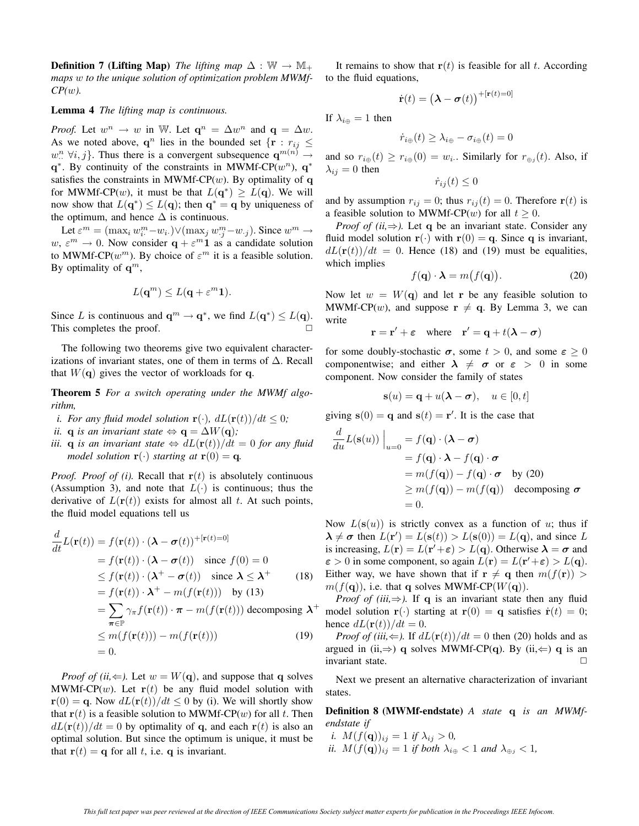**Definition 7 (Lifting Map)** *The lifting map*  $\Delta : \mathbb{W} \to \mathbb{M}_+$ *maps* w *to the unique solution of optimization problem MWMf-CP(*w*).*

# **Lemma 4** *The lifting map is continuous.*

*Proof.* Let  $w^n \to w$  in W. Let  $q^n = \Delta w^n$  and  $q = \Delta w$ . As we noted above,  $q^n$  lies in the bounded set  $\{r : r_{ij} \leq$  $w_{n}^{n} \forall i, j$ . Thus there is a convergent subsequence  $\mathbf{q}^{m(n)} \rightarrow$  $q^*$ . By continuity of the constraints in MWMf-CP( $w^n$ ),  $q^*$ satisfies the constraints in MWMf- $CP(w)$ . By optimality of **q** for MWMf-CP(w), it must be that  $L(\mathbf{q}^*) \ge L(\mathbf{q})$ . We will now show that  $L(\mathbf{q}^*) \le L(\mathbf{q})$ ; then  $\mathbf{q}^* = \mathbf{q}$  by uniqueness of the optimum, and hence  $\Delta$  is continuous.

Let  $\varepsilon^m = (\max_i w_i^m - w_i) \vee (\max_j w_{\cdot j}^m - w_{\cdot j})$ . Since  $w^m \to \varepsilon^m \to 0$ . Now consider  $g \to \varepsilon^m 1$  as a candidate solution  $w, \varepsilon^m \to 0$ . Now consider  $q + \varepsilon^m 1$  as a candidate solution to MWMf-CP( $w^m$ ). By choice of  $\varepsilon^m$  it is a feasible solution. By optimality of  $q^m$ ,

$$
L(\mathbf{q}^m) \le L(\mathbf{q} + \varepsilon^m \mathbf{1}).
$$

Since L is continuous and  $\mathbf{q}^m \to \mathbf{q}^*$ , we find  $L(\mathbf{q}^*) \le L(\mathbf{q})$ . This completes the proof.

The following two theorems give two equivalent characterizations of invariant states, one of them in terms of  $\Delta$ . Recall that  $W(\mathbf{q})$  gives the vector of workloads for **q**.

**Theorem 5** *For a switch operating under the MWMf algorithm,*

- *i. For any fluid model solution*  $\mathbf{r}(\cdot)$ *,*  $dL(\mathbf{r}(t))/dt \leq 0$ *;*
- *ii.* **q** *is an invariant state*  $\Leftrightarrow$  **q** =  $\Delta W(\mathbf{q})$ *;*
- *iii.* **q** *is an invariant state*  $\Leftrightarrow$   $dL(\mathbf{r}(t))/dt = 0$  *for any fluid model solution*  $\mathbf{r}(\cdot)$  *starting at*  $\mathbf{r}(0) = \mathbf{q}$ *.*

*Proof. Proof of (i).* Recall that  $r(t)$  is absolutely continuous (Assumption 3), and note that  $L(\cdot)$  is continuous; thus the derivative of  $L(\mathbf{r}(t))$  exists for almost all t. At such points, the fluid model equations tell us

$$
\frac{d}{dt}L(\mathbf{r}(t)) = f(\mathbf{r}(t)) \cdot (\boldsymbol{\lambda} - \boldsymbol{\sigma}(t))^{+[\mathbf{r}(t)=0]}
$$
\n
$$
= f(\mathbf{r}(t)) \cdot (\boldsymbol{\lambda} - \boldsymbol{\sigma}(t)) \quad \text{since } f(0) = 0
$$
\n
$$
\leq f(\mathbf{r}(t)) \cdot (\boldsymbol{\lambda}^+ - \boldsymbol{\sigma}(t)) \quad \text{since } \boldsymbol{\lambda} \leq \boldsymbol{\lambda}^+ \qquad (18)
$$
\n
$$
= f(\mathbf{r}(t)) \cdot \boldsymbol{\lambda}^+ - m(f(\mathbf{r}(t))) \quad \text{by (13)}
$$
\n
$$
= \sum_{\pi \in \mathbb{P}} \gamma_{\pi} f(\mathbf{r}(t)) \cdot \pi - m(f(\mathbf{r}(t))) \quad \text{decomposing } \boldsymbol{\lambda}^+
$$

$$
\leq m(f(\mathbf{r}(t))) - m(f(\mathbf{r}(t)))
$$
\n
$$
= 0.
$$
\n(19)

*Proof of (ii,*  $\Leftarrow$ ). Let  $w = W(\mathbf{q})$ , and suppose that **q** solves MWMf-CP $(w)$ . Let  $r(t)$  be any fluid model solution with  $\mathbf{r}(0) = \mathbf{q}$ . Now  $dL(\mathbf{r}(t))/dt \leq 0$  by (i). We will shortly show that  $\mathbf{r}(t)$  is a feasible solution to MWMf-CP(w) for all t. Then  $dL(\mathbf{r}(t))/dt = 0$  by optimality of **q**, and each  $\mathbf{r}(t)$  is also an optimal solution. But since the optimum is unique, it must be that  $\mathbf{r}(t) = \mathbf{q}$  for all t, i.e.  $\mathbf{q}$  is invariant.

It remains to show that  $r(t)$  is feasible for all t. According to the fluid equations,

$$
\dot{\mathbf{r}}(t) = \left(\boldsymbol{\lambda} - \boldsymbol{\sigma}(t)\right)^{+[\mathbf{r}(t)=0]}
$$

If  $\lambda_{i \oplus} = 1$  then

$$
\dot{r}_{i\oplus}(t) \ge \lambda_{i\oplus} - \sigma_{i\oplus}(t) = 0
$$

and so  $r_{i\oplus}(t) \geq r_{i\oplus}(0) = w_i$ . Similarly for  $r_{\oplus j}(t)$ . Also, if  $\lambda_{ij} = 0$  then

 $\dot{r}_{ij}(t) \leq 0$ 

and by assumption  $r_{ij} = 0$ ; thus  $r_{ij}(t) = 0$ . Therefore **r**(*t*) is a feasible solution to MWMf-CP(w) for all  $t > 0$ .

*Proof of (ii,* $\Rightarrow$ ). Let **q** be an invariant state. Consider any fluid model solution  $\mathbf{r}(\cdot)$  with  $\mathbf{r}(0) = \mathbf{q}$ . Since q is invariant,  $dL(\mathbf{r}(t))/dt = 0$ . Hence (18) and (19) must be equalities, which implies

$$
f(\mathbf{q}) \cdot \mathbf{\lambda} = m(f(\mathbf{q})). \tag{20}
$$

Now let  $w = W(q)$  and let **r** be any feasible solution to MWMf-CP(w), and suppose  $\mathbf{r} \neq \mathbf{q}$ . By Lemma 3, we can write

 $\mathbf{r} = \mathbf{r}' + \varepsilon$  where  $\mathbf{r}' = \mathbf{q} + t(\lambda - \sigma)$ 

for some doubly-stochastic  $\sigma$ , some  $t > 0$ , and some  $\varepsilon > 0$ componentwise; and either  $\lambda \neq \sigma$  or  $\varepsilon > 0$  in some component. Now consider the family of states

$$
\mathbf{s}(u) = \mathbf{q} + u(\boldsymbol{\lambda} - \boldsymbol{\sigma}), \quad u \in [0, t]
$$

giving  $\mathbf{s}(0) = \mathbf{q}$  and  $\mathbf{s}(t) = \mathbf{r}'$ . It is the case that

$$
\frac{d}{du}L(\mathbf{s}(u))\Big|_{u=0} = f(\mathbf{q}) \cdot (\boldsymbol{\lambda} - \boldsymbol{\sigma})
$$
  
\n
$$
= f(\mathbf{q}) \cdot \boldsymbol{\lambda} - f(\mathbf{q}) \cdot \boldsymbol{\sigma}
$$
  
\n
$$
= m(f(\mathbf{q})) - f(\mathbf{q}) \cdot \boldsymbol{\sigma} \text{ by (20)}
$$
  
\n
$$
\geq m(f(\mathbf{q})) - m(f(\mathbf{q})) \text{ decomposing } \boldsymbol{\sigma}
$$
  
\n
$$
= 0.
$$

Now  $L(s(u))$  is strictly convex as a function of u; thus if  $\lambda \neq \sigma$  then  $L(\mathbf{r}') = L(\mathbf{s}(t)) > L(\mathbf{s}(0)) = L(\mathbf{q})$ , and since L<br>is increasing  $L(\mathbf{r}) = L(\mathbf{r}' + \mathbf{s}) > L(\mathbf{q})$ . Otherwise  $\lambda = \sigma$  and is increasing,  $\dot{L}(\mathbf{r}) = L(\mathbf{r}' + \varepsilon) > L(\mathbf{q})$ . Otherwise  $\lambda = \sigma$  and  $\varepsilon > 0$  in some component so again  $L(\mathbf{r}) = L(\mathbf{r}' + \varepsilon) > L(\mathbf{q})$ .  $\varepsilon > 0$  in some component, so again  $\overline{L}(\mathbf{r}) = L(\mathbf{r'} + \varepsilon) > L(\mathbf{q})$ .<br>Fither way, we have shown that if  $\mathbf{r} \neq \mathbf{q}$  then  $m(f(\mathbf{r})) >$ Either way, we have shown that if  $\mathbf{r} \neq \mathbf{q}$  then  $m(f(\mathbf{r})) >$  $m(f(\mathbf{q}))$ , i.e. that **q** solves MWMf-CP( $W(\mathbf{q})$ ).

*Proof of (iii,* $\Rightarrow$ ). If **q** is an invariant state then any fluid model solution  $\mathbf{r}(\cdot)$  starting at  $\mathbf{r}(0) = \mathbf{q}$  satisfies  $\dot{\mathbf{r}}(t) = 0$ ; hence  $dL(\mathbf{r}(t))/dt = 0$ .

*Proof of (iii,*  $\Leftarrow$ ). If  $dL(\mathbf{r}(t))/dt = 0$  then (20) holds and as argued in  $(ii, \Rightarrow)$  **q** solves MWMf-CP(**q**). By  $(ii, \Leftarrow)$  **q** is an invariant state.

Next we present an alternative characterization of invariant states.

**Definition 8 (MWMf-endstate)** *A state* **q** *is an MWMfendstate if*

- *i.*  $M(f(\mathbf{q}))_{ij} = 1$  *if*  $\lambda_{ij} > 0$ *,*
- *ii.*  $M(f(\mathbf{q}))_{ij} = 1$  *if both*  $\lambda_{i\oplus} < 1$  *and*  $\lambda_{\oplus j} < 1$ *,*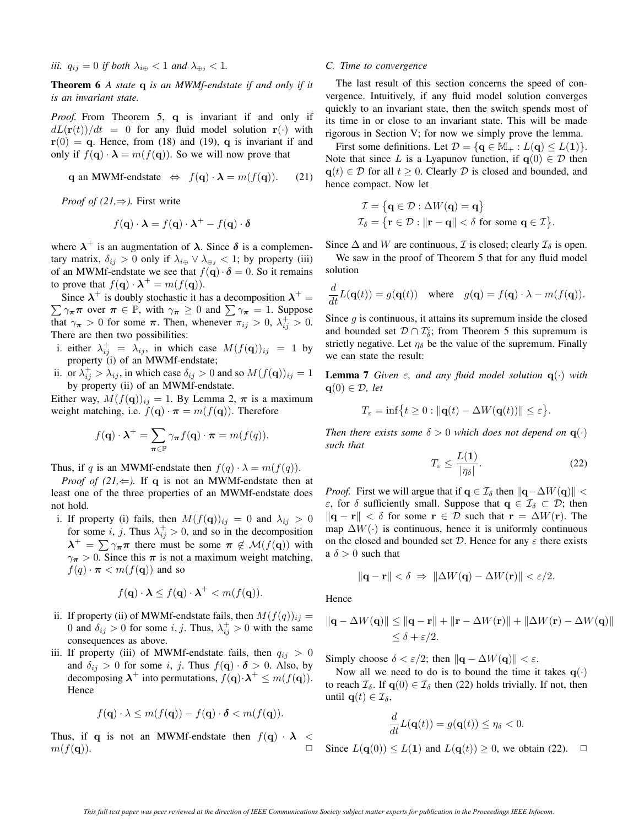*iii.*  $q_{ij} = 0$  *if both*  $\lambda_{i\oplus} < 1$  *and*  $\lambda_{\oplus j} < 1$ *.* 

**Theorem 6** *A state* **q** *is an MWMf-endstate if and only if it is an invariant state.*

*Proof.* From Theorem 5, **q** is invariant if and only if  $dL(\mathbf{r}(t))/dt = 0$  for any fluid model solution  $\mathbf{r}(\cdot)$  with  $\mathbf{r}(0) = \mathbf{q}$ . Hence, from (18) and (19), **q** is invariant if and only if  $f(\mathbf{q}) \cdot \mathbf{\lambda} = m(f(\mathbf{q}))$ . So we will now prove that

**q** an MWMf-endstate 
$$
\Leftrightarrow f(\mathbf{q}) \cdot \lambda = m(f(\mathbf{q}))
$$
. (21)

*Proof of (21,*⇒*).* First write

$$
f(\mathbf{q}) \cdot \mathbf{\lambda} = f(\mathbf{q}) \cdot \mathbf{\lambda}^+ - f(\mathbf{q}) \cdot \mathbf{\delta}
$$

where  $\lambda^+$  is an augmentation of  $\lambda$ . Since  $\delta$  is a complementary matrix,  $\delta_{ij} > 0$  only if  $\lambda_{i\oplus} \vee \lambda_{\oplus j} < 1$ ; by property (iii) of an MWMf-endstate we see that  $f(\mathbf{q}) \cdot \mathbf{\delta} = 0$ . So it remains to prove that  $f(\mathbf{q}) \cdot \mathbf{\lambda}^+ = m(f(\mathbf{q})).$ 

Since  $\lambda^+$  is doubly stochastic it has a decomposition  $\lambda^+$  $\sum \gamma_{\pi} \pi$  over  $\pi \in \mathbb{P}$ , with  $\gamma_{\pi} \ge 0$  and  $\sum \gamma_{\pi} = 1$ . Suppose that  $\gamma_{\pi} > 0$  for some  $\pi$ . Then, whenever  $\pi_{ij} > 0$ ,  $\lambda_{ij}^{+} > 0$ .<br>There are then two possibilities: There are then two possibilities:

- i. either  $\lambda_{ij}^+ = \lambda_{ij}$ , in which case  $M(f(\mathbf{q}))_{ij} = 1$  by property (i) of an MWMf-endstate: property (i) of an MWMf-endstate;
- ii. or  $\lambda_{ij}^+ > \lambda_{ij}$ , in which case  $\delta_{ij} > 0$  and so  $M(f(\mathbf{q}))_{ij} = 1$ <br>by property (ii) of an MWMf-endstate by property (ii) of an MWMf-endstate.

Either way,  $M(f(\mathbf{q}))_{ij} = 1$ . By Lemma 2,  $\pi$  is a maximum weight matching, i.e.  $f(\mathbf{q}) \cdot \boldsymbol{\pi} = m(f(\mathbf{q}))$ . Therefore

$$
f(\mathbf{q}) \cdot \mathbf{\lambda}^+ = \sum_{\pi \in \mathbb{P}} \gamma_{\pi} f(\mathbf{q}) \cdot \pi = m(f(q)).
$$

Thus, if q is an MWMf-endstate then  $f(q) \cdot \lambda = m(f(q))$ .

*Proof of (21,*  $\Leftarrow$ *).* If **q** is not an MWMf-endstate then at least one of the three properties of an MWMf-endstate does not hold.

i. If property (i) fails, then  $M(f(\mathbf{q}))_{ij} = 0$  and  $\lambda_{ij} > 0$ for some *i*, *j*. Thus  $\lambda_{ij}^+ > 0$ , and so in the decomposition  $\lambda_{ij}^+ = \sum_{k=0}^\infty \tau_k^+$  there must be some  $\tau_{ij} \propto M(f(\alpha))$  with  $\lambda^+ = \sum \gamma_{\pi} \pi$  there must be some  $\pi \notin \mathcal{M}(f(\mathbf{q}))$  with  $\gamma_{\pi} > 0$ . Since this  $\pi$  is not a maximum weight matching,  $f(q) \cdot \pi < m(f(\mathbf{q}))$  and so

$$
f(\mathbf{q}) \cdot \boldsymbol{\lambda} \le f(\mathbf{q}) \cdot \boldsymbol{\lambda}^+ < m(f(\mathbf{q})).
$$

- ii. If property (ii) of MWMf-endstate fails, then  $M(f(q))_{ii} =$ 0 and  $\delta_{ij} > 0$  for some *i*, *j*. Thus,  $\lambda_{ij}^+ > 0$  with the same consequences as above consequences as above.
- iii. If property (iii) of MWMf-endstate fails, then  $q_{ij} > 0$ and  $\delta_{ij} > 0$  for some i, j. Thus  $f(\mathbf{q}) \cdot \boldsymbol{\delta} > 0$ . Also, by decomposing  $\lambda^+$  into permutations,  $f(\mathbf{q}) \cdot \lambda^+ \leq m(f(\mathbf{q}))$ . Hence

$$
f(\mathbf{q}) \cdot \lambda \le m(f(\mathbf{q})) - f(\mathbf{q}) \cdot \boldsymbol{\delta} < m(f(\mathbf{q})).
$$

Thus, if **q** is not an MWMf-endstate then  $f(\mathbf{q}) \cdot \lambda < m(f(\mathbf{q}))$ .  $m(f(\mathbf{q})).$ 

### *C. Time to convergence*

The last result of this section concerns the speed of convergence. Intuitively, if any fluid model solution converges quickly to an invariant state, then the switch spends most of its time in or close to an invariant state. This will be made rigorous in Section V; for now we simply prove the lemma.

First some definitions. Let  $\mathcal{D} = {\mathbf{q} \in \mathbb{M}_+ : L(\mathbf{q}) \leq L(1)}.$ Note that since L is a Lyapunov function, if  $q(0) \in \mathcal{D}$  then **q**(t) ∈ D for all  $t \ge 0$ . Clearly D is closed and bounded, and hence compact. Now let

$$
\mathcal{I} = \{ \mathbf{q} \in \mathcal{D} : \Delta W(\mathbf{q}) = \mathbf{q} \}
$$
  

$$
\mathcal{I}_{\delta} = \{ \mathbf{r} \in \mathcal{D} : ||\mathbf{r} - \mathbf{q}|| < \delta \text{ for some } \mathbf{q} \in \mathcal{I} \}.
$$

Since  $\Delta$  and W are continuous,  $\mathcal I$  is closed; clearly  $\mathcal I_\delta$  is open. We saw in the proof of Theorem 5 that for any fluid model solution

$$
\frac{d}{dt}L(\mathbf{q}(t)) = g(\mathbf{q}(t)) \quad \text{where} \quad g(\mathbf{q}) = f(\mathbf{q}) \cdot \lambda - m(f(\mathbf{q})).
$$

Since  $q$  is continuous, it attains its supremum inside the closed and bounded set  $D \cap \mathcal{I}_{\delta}^c$ ; from Theorem 5 this supremum is strictly negative. Let  $\eta_{\delta}$  be the value of the supremum. Finally we can state the result:

**Lemma 7** *Given*  $\varepsilon$ *, and any fluid model solution*  $q(\cdot)$  *with* **q**(0) ∈  $\mathcal{D}$ *, let* 

$$
T_{\varepsilon} = \inf \{ t \ge 0 : ||\mathbf{q}(t) - \Delta W(\mathbf{q}(t))|| \le \varepsilon \}.
$$

*Then there exists some*  $\delta > 0$  *which does not depend on*  $\mathbf{q}(\cdot)$ *such that*

$$
T_{\varepsilon} \le \frac{L(1)}{|\eta_{\delta}|}.\tag{22}
$$

*Proof.* First we will argue that if **q** ∈  $\mathcal{I}_{\delta}$  then  $||\mathbf{q} - \Delta W(\mathbf{q})||$  <  $\varepsilon$ , for  $\delta$  sufficiently small. Suppose that  $\mathbf{q} \in \mathcal{I}_{\delta} \subset \mathcal{D}$ ; then  $\|\mathbf{q} - \mathbf{r}\| < \delta$  for some  $\mathbf{r} \in \mathcal{D}$  such that  $\mathbf{r} = \Delta W(\mathbf{r})$ . The map  $\Delta W(\cdot)$  is continuous, hence it is uniformly continuous on the closed and bounded set  $D$ . Hence for any  $\varepsilon$  there exists a  $\delta > 0$  such that

$$
\|\mathbf{q} - \mathbf{r}\| < \delta \Rightarrow \|\Delta W(\mathbf{q}) - \Delta W(\mathbf{r})\| < \varepsilon/2.
$$

Hence

$$
\|\mathbf{q} - \Delta W(\mathbf{q})\| \le \|\mathbf{q} - \mathbf{r}\| + \|\mathbf{r} - \Delta W(\mathbf{r})\| + \|\Delta W(\mathbf{r}) - \Delta W(\mathbf{q})\|
$$
  
\$\le \delta + \varepsilon/2\$.

Simply choose  $\delta < \varepsilon/2$ ; then  $\|\mathbf{q} - \Delta W(\mathbf{q})\| < \varepsilon$ .

Now all we need to do is to bound the time it takes  $q(\cdot)$ to reach  $\mathcal{I}_{\delta}$ . If **q**(0)  $\in \mathcal{I}_{\delta}$  then (22) holds trivially. If not, then until **q**(t)  $\in \mathcal{I}_{\delta}$ ,

$$
\frac{d}{dt}L(\mathbf{q}(t)) = g(\mathbf{q}(t)) \le \eta_{\delta} < 0.
$$

Since  $L(\mathbf{q}(0)) \le L(1)$  and  $L(\mathbf{q}(t)) \ge 0$ , we obtain (22).  $\Box$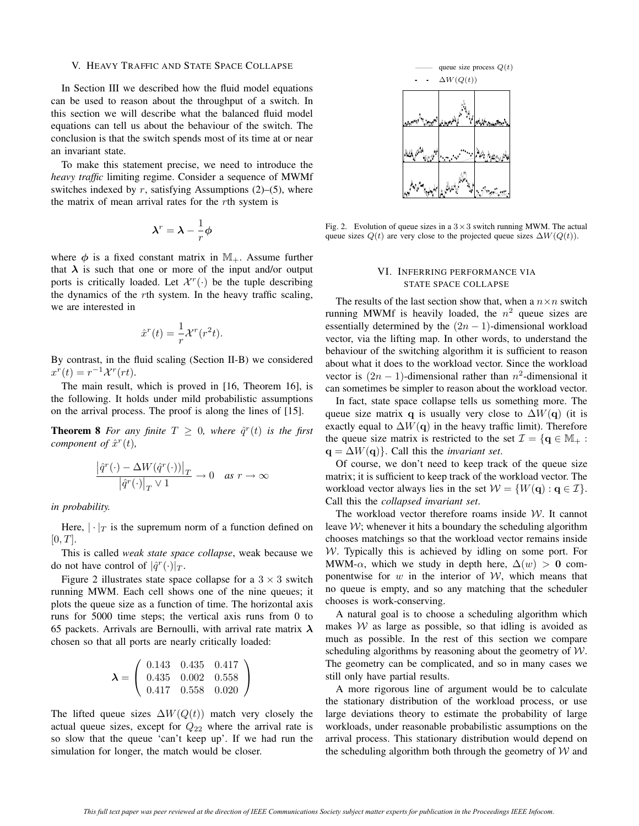#### V. HEAVY TRAFFIC AND STATE SPACE COLLAPSE

In Section III we described how the fluid model equations can be used to reason about the throughput of a switch. In this section we will describe what the balanced fluid model equations can tell us about the behaviour of the switch. The conclusion is that the switch spends most of its time at or near an invariant state.

To make this statement precise, we need to introduce the *heavy traffic* limiting regime. Consider a sequence of MWMf switches indexed by r, satisfying Assumptions  $(2)$ –(5), where the matrix of mean arrival rates for the rth system is

$$
\lambda^r = \lambda - \frac{1}{r}\phi
$$

where  $\phi$  is a fixed constant matrix in M<sub>+</sub>. Assume further that  $\lambda$  is such that one or more of the input and/or output ports is critically loaded. Let  $\mathcal{X}^r(\cdot)$  be the tuple describing the dynamics of the rth system. In the heavy traffic scaling, we are interested in

$$
\hat{x}^r(t) = \frac{1}{r} \mathcal{X}^r(r^2 t).
$$

By contrast, in the fluid scaling (Section II-B) we considered  $x^r(t) = r^{-1} \mathcal{X}^r(rt).$ 

The main result, which is proved in [16, Theorem 16], is the following. It holds under mild probabilistic assumptions on the arrival process. The proof is along the lines of [15].

**Theorem 8** *For any finite*  $T \geq 0$ *, where*  $\hat{q}^r(t)$  *is the first component of*  $\hat{x}^r(t)$ *,* 

$$
\frac{\left|\hat{q}^r(\cdot) - \Delta W(\hat{q}^r(\cdot))\right|_T}{\left|\hat{q}^r(\cdot)\right|_T \vee 1} \to 0 \quad \text{as } r \to \infty
$$

*in probability.*

Here,  $|\cdot|_T$  is the supremum norm of a function defined on  $[0, T]$ .

This is called *weak state space collapse*, weak because we do not have control of  $|\hat{q}^r(\cdot)|_T$ .

Figure 2 illustrates state space collapse for a  $3 \times 3$  switch running MWM. Each cell shows one of the nine queues; it plots the queue size as a function of time. The horizontal axis runs for 5000 time steps; the vertical axis runs from 0 to 65 packets. Arrivals are Bernoulli, with arrival rate matrix *λ* chosen so that all ports are nearly critically loaded:

$$
\lambda = \left(\begin{array}{ccc} 0.143 & 0.435 & 0.417 \\ 0.435 & 0.002 & 0.558 \\ 0.417 & 0.558 & 0.020 \end{array}\right)
$$

The lifted queue sizes  $\Delta W(Q(t))$  match very closely the actual queue sizes, except for  $Q_{22}$  where the arrival rate is so slow that the queue 'can't keep up'. If we had run the simulation for longer, the match would be closer.



Fig. 2. Evolution of queue sizes in a  $3 \times 3$  switch running MWM. The actual queue sizes  $Q(t)$  are very close to the projected queue sizes  $\Delta W(Q(t))$ .

# VI. INFERRING PERFORMANCE VIA STATE SPACE COLLAPSE

The results of the last section show that, when a  $n \times n$  switch running MWMf is heavily loaded, the  $n^2$  queue sizes are essentially determined by the  $(2n - 1)$ -dimensional workload vector, via the lifting map. In other words, to understand the behaviour of the switching algorithm it is sufficient to reason about what it does to the workload vector. Since the workload vector is  $(2n - 1)$ -dimensional rather than  $n^2$ -dimensional it can sometimes be simpler to reason about the workload vector.

In fact, state space collapse tells us something more. The queue size matrix **q** is usually very close to  $\Delta W(\mathbf{q})$  (it is exactly equal to  $\Delta W(\mathbf{q})$  in the heavy traffic limit). Therefore the queue size matrix is restricted to the set  $\mathcal{I} = \{q \in \mathbb{M}_+ :$  $q = \Delta W(q)$ . Call this the *invariant set*.

Of course, we don't need to keep track of the queue size matrix; it is sufficient to keep track of the workload vector. The workload vector always lies in the set  $W = \{W(\mathbf{q}) : \mathbf{q} \in \mathcal{I}\}.$ Call this the *collapsed invariant set*.

The workload vector therefore roams inside  $W$ . It cannot leave  $W$ ; whenever it hits a boundary the scheduling algorithm chooses matchings so that the workload vector remains inside  $W$ . Typically this is achieved by idling on some port. For MWM- $\alpha$ , which we study in depth here,  $\Delta(w) > 0$  componentwise for  $w$  in the interior of  $W$ , which means that no queue is empty, and so any matching that the scheduler chooses is work-conserving.

A natural goal is to choose a scheduling algorithm which makes  $W$  as large as possible, so that idling is avoided as much as possible. In the rest of this section we compare scheduling algorithms by reasoning about the geometry of W. The geometry can be complicated, and so in many cases we still only have partial results.

A more rigorous line of argument would be to calculate the stationary distribution of the workload process, or use large deviations theory to estimate the probability of large workloads, under reasonable probabilistic assumptions on the arrival process. This stationary distribution would depend on the scheduling algorithm both through the geometry of  $W$  and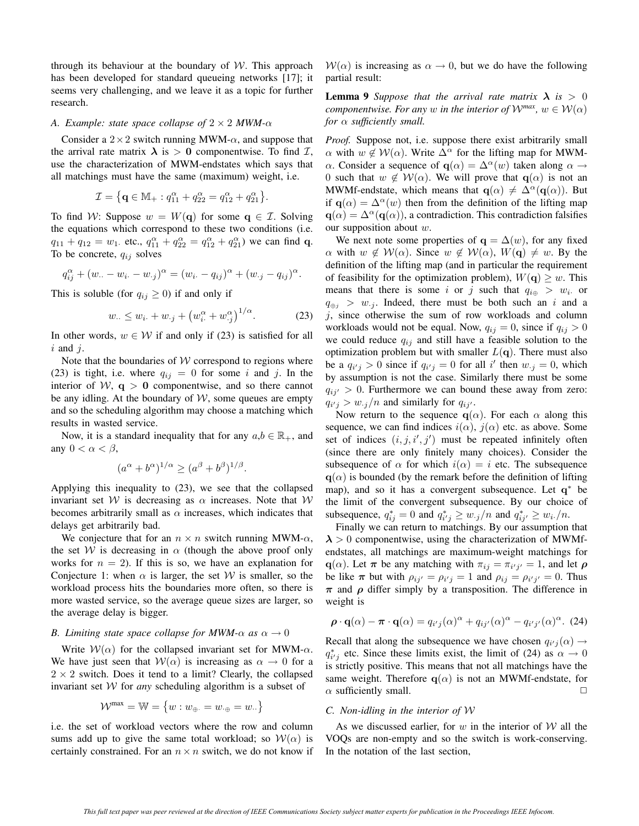through its behaviour at the boundary of  $W$ . This approach has been developed for standard queueing networks [17]; it seems very challenging, and we leave it as a topic for further research.

#### *A. Example: state space collapse of* 2 <sup>×</sup> 2 *MWM-*<sup>α</sup>

Consider a  $2 \times 2$  switch running MWM- $\alpha$ , and suppose that the arrival rate matrix  $\lambda$  is  $> 0$  componentwise. To find  $\mathcal{I}$ , use the characterization of MWM-endstates which says that all matchings must have the same (maximum) weight, i.e.

$$
\mathcal{I} = \{ \mathbf{q} \in \mathbb{M}_+ : q_{11}^{\alpha} + q_{22}^{\alpha} = q_{12}^{\alpha} + q_{21}^{\alpha} \}.
$$

To find W: Suppose  $w = W(q)$  for some  $q \in \mathcal{I}$ . Solving the equations which correspond to these two conditions (i.e.  $q_{11} + q_{12} = w_1$ , etc.,  $q_{11}^{\alpha} + q_{22}^{\alpha} = q_{12}^{\alpha} + q_{21}^{\alpha}$ ) we can find **q**.<br>To be concrete,  $q_{11}$  solves To be concrete,  $q_{ij}$  solves

$$
q_{ij}^{\alpha} + (w_{\cdot \cdot} - w_{i \cdot} - w_{\cdot j})^{\alpha} = (w_{i \cdot} - q_{ij})^{\alpha} + (w_{\cdot j} - q_{ij})^{\alpha}.
$$

This is soluble (for  $q_{ij} \geq 0$ ) if and only if

$$
w_{\cdot\cdot} \le w_{i\cdot} + w_{\cdot j} + \left(w_{i\cdot}^{\alpha} + w_{\cdot j}^{\alpha}\right)^{1/\alpha}.
$$
 (23)

In other words,  $w \in \mathcal{W}$  if and only if (23) is satisfied for all  $i$  and  $j$ .

Note that the boundaries of  $W$  correspond to regions where (23) is tight, i.e. where  $q_{ij} = 0$  for some i and j. In the interior of  $W$ ,  $q > 0$  componentwise, and so there cannot be any idling. At the boundary of  $W$ , some queues are empty and so the scheduling algorithm may choose a matching which results in wasted service.

Now, it is a standard inequality that for any  $a,b \in \mathbb{R}_+$ , and any  $0 < \alpha < \beta$ ,

$$
(a^{\alpha} + b^{\alpha})^{1/\alpha} \ge (a^{\beta} + b^{\beta})^{1/\beta}.
$$

Applying this inequality to (23), we see that the collapsed invariant set W is decreasing as  $\alpha$  increases. Note that W becomes arbitrarily small as  $\alpha$  increases, which indicates that delays get arbitrarily bad.

We conjecture that for an  $n \times n$  switch running MWM- $\alpha$ , the set W is decreasing in  $\alpha$  (though the above proof only works for  $n = 2$ ). If this is so, we have an explanation for Conjecture 1: when  $\alpha$  is larger, the set W is smaller, so the workload process hits the boundaries more often, so there is more wasted service, so the average queue sizes are larger, so the average delay is bigger.

# *B. Limiting state space collapse for MWM-* $\alpha$  *as*  $\alpha \rightarrow 0$

Write  $W(\alpha)$  for the collapsed invariant set for MWM- $\alpha$ . We have just seen that  $W(\alpha)$  is increasing as  $\alpha \to 0$  for a  $2 \times 2$  switch. Does it tend to a limit? Clearly, the collapsed invariant set W for *any* scheduling algorithm is a subset of

$$
\mathcal{W}^{\max} = \mathbb{W} = \{w : w_{\oplus} = w_{\cdot \oplus} = w_{\cdot \cdot}\}
$$

i.e. the set of workload vectors where the row and column sums add up to give the same total workload; so  $W(\alpha)$  is certainly constrained. For an  $n \times n$  switch, we do not know if  $W(\alpha)$  is increasing as  $\alpha \rightarrow 0$ , but we do have the following partial result:

**Lemma 9** *Suppose that the arrival rate matrix*  $\lambda$  *is*  $> 0$ *componentwise. For any* w *in the interior of*  $W^{max}$ ,  $w \in W(\alpha)$ *for* α *sufficiently small.*

*Proof.* Suppose not, i.e. suppose there exist arbitrarily small  $\alpha$  with  $w \notin W(\alpha)$ . Write  $\Delta^{\alpha}$  for the lifting map for MWMα. Consider a sequence of **q**( $α$ ) =  $\Delta^α(w)$  taken along  $α$  → 0 such that  $w \notin W(\alpha)$ . We will prove that  $q(\alpha)$  is not an MWMf-endstate, which means that  $q(\alpha) \neq \Delta^{\alpha}(q(\alpha))$ . But if **q**( $\alpha$ ) =  $\Delta^{\alpha}(w)$  then from the definition of the lifting map  $q(\alpha) = \Delta^{\alpha}(q(\alpha))$ , a contradiction. This contradiction falsifies our supposition about  $w$ .

We next note some properties of  $\mathbf{q} = \Delta(w)$ , for any fixed  $\alpha$  with  $w \notin W(\alpha)$ . Since  $w \notin W(\alpha)$ ,  $W(\mathbf{q}) \neq w$ . By the definition of the lifting map (and in particular the requirement of feasibility for the optimization problem),  $W(\mathbf{q}) \geq w$ . This means that there is some i or j such that  $q_{i\oplus} > w_i$  or  $q_{\oplus j} > w_{\cdot j}$ . Indeed, there must be both such an i and a  $j$ , since otherwise the sum of row workloads and column workloads would not be equal. Now,  $q_{ij} = 0$ , since if  $q_{ij} > 0$ we could reduce  $q_{ij}$  and still have a feasible solution to the optimization problem but with smaller  $L(\mathbf{q})$ . There must also be a  $q_{i'j} > 0$  since if  $q_{i'j} = 0$  for all i' then  $w_{i,j} = 0$ , which<br>by assumption is not the case. Similarly there must be some by assumption is not the case. Similarly there must be some  $q_{ij} > 0$ . Furthermore we can bound these away from zero:<br> $q_{ij} > w_{ij}/n$  and similarly for  $q_{ij}$ .  $q_{i'j} > w_{\cdot j}/n$  and similarly for  $q_{ij'}$ .

Now return to the sequence **q**( $\alpha$ ). For each  $\alpha$  along this sequence, we can find indices  $i(\alpha)$ ,  $j(\alpha)$  etc. as above. Some set of indices  $(i, j, i', j')$  must be repeated infinitely often<br>(since there are only finitely many choices). Consider the (since there are only finitely many choices). Consider the subsequence of  $\alpha$  for which  $i(\alpha) = i$  etc. The subsequence  $q(\alpha)$  is bounded (by the remark before the definition of lifting map), and so it has a convergent subsequence. Let **q**<sup>∗</sup> be the limit of the convergent subsequence. By our choice of subsequence,  $q_{ij}^* = 0$  and  $q_{ij}^* \ge w_{.j}/n$  and  $q_{ij}^* \ge w_i/n$ .<br>Finally we can return to matchings. By our assumption

Finally we can return to matchings. By our assumption that  $\lambda > 0$  componentwise, using the characterization of MWMfendstates, all matchings are maximum-weight matchings for **q**( $\alpha$ ). Let  $\pi$  be any matching with  $\pi_{ij} = \pi_{i'j'} = 1$ , and let  $\rho$  be like  $\pi$  but with  $\alpha_{ii'} = \alpha_{ii'} = 1$  and  $\alpha_{ii'} = \alpha_{ii'} = 0$ . Thus be like  $\pi$  but with  $\rho_{ij'} = \rho_{i'j} = 1$  and  $\rho_{ij} = \rho_{i'j'} = 0$ . Thus  $\pi$  and  $\rho$  difference in *π* and *ρ* differ simply by a transposition. The difference in weight is

$$
\boldsymbol{\rho} \cdot \mathbf{q}(\alpha) - \boldsymbol{\pi} \cdot \mathbf{q}(\alpha) = q_{i'j}(\alpha)^{\alpha} + q_{ij'}(\alpha)^{\alpha} - q_{i'j'}(\alpha)^{\alpha}.
$$
 (24)

Recall that along the subsequence we have chosen  $q_{i'j}(\alpha) \rightarrow a^*$  etc. Since these limits exist, the limit of (24) as  $\alpha \rightarrow 0$  $q_{i'j}^*$  etc. Since these limits exist, the limit of (24) as  $\alpha \to 0$ <br>is strictly positive. This means that not all matchings have the is strictly positive. This means that not all matchings have the same weight. Therefore **q**( $\alpha$ ) is not an MWMf-endstate, for  $\alpha$  sufficiently small.  $\alpha$  sufficiently small.

### *C. Non-idling in the interior of* W

As we discussed earlier, for w in the interior of  $W$  all the VOQs are non-empty and so the switch is work-conserving. In the notation of the last section,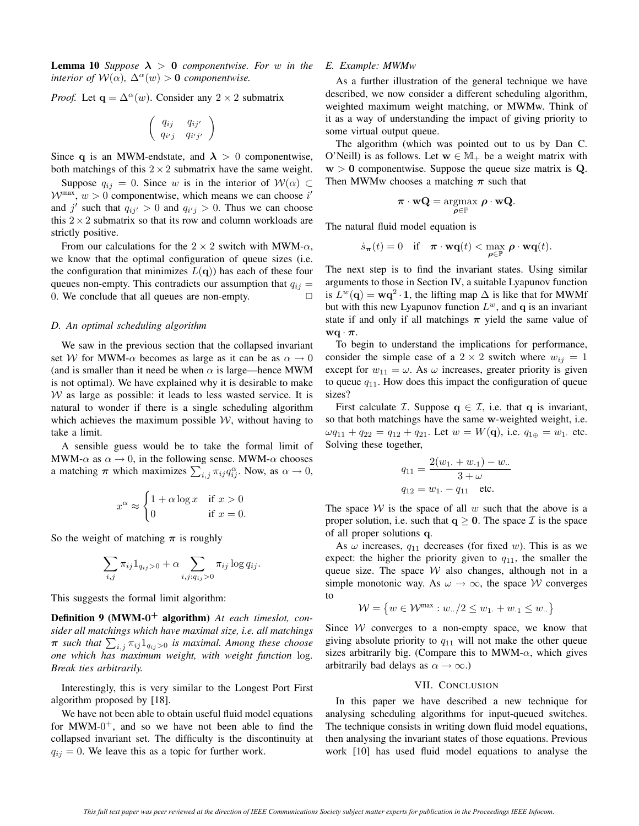**Lemma 10** *Suppose*  $\lambda > 0$  *componentwise. For w in the interior of*  $W(\alpha)$ ,  $\Delta^{\alpha}(w) > 0$  *componentwise.* 

*Proof.* Let  $\mathbf{q} = \Delta^{\alpha}(w)$ . Consider any 2 × 2 submatrix

$$
\left(\begin{array}{cc}q_{ij}&q_{ij'}\\q_{i'j}&q_{i'j'}\end{array}\right)
$$

Since **q** is an MWM-endstate, and  $\lambda > 0$  componentwise, both matchings of this  $2 \times 2$  submatrix have the same weight.

Suppose  $q_{ij} = 0$ . Since w is in the interior of  $W(\alpha) \subset$  $W^{max}$ ,  $w > 0$  componentwise, which means we can choose if and j' such that  $q_{ij} > 0$  and  $q_{ij} > 0$ . Thus we can choose<br>this 2 x 2 submatrix so that its row and column workloads are this  $2 \times 2$  submatrix so that its row and column workloads are strictly positive.

From our calculations for the  $2 \times 2$  switch with MWM- $\alpha$ , we know that the optimal configuration of queue sizes (i.e. the configuration that minimizes  $L(q)$ ) has each of these four queues non-empty. This contradicts our assumption that  $q_{ij} =$ 0. We conclude that all queues are non-empty.

# *D. An optimal scheduling algorithm*

We saw in the previous section that the collapsed invariant set W for MWM- $\alpha$  becomes as large as it can be as  $\alpha \to 0$ (and is smaller than it need be when  $\alpha$  is large—hence MWM is not optimal). We have explained why it is desirable to make  $W$  as large as possible: it leads to less wasted service. It is natural to wonder if there is a single scheduling algorithm which achieves the maximum possible  $W$ , without having to take a limit.

A sensible guess would be to take the formal limit of MWM- $\alpha$  as  $\alpha \to 0$ , in the following sense. MWM- $\alpha$  chooses a matching  $\pi$  which maximizes  $\sum_{i,j} \pi_{ij} q_{ij}^{\alpha}$ . Now, as  $\alpha \to 0$ ,

$$
x^{\alpha} \approx \begin{cases} 1 + \alpha \log x & \text{if } x > 0 \\ 0 & \text{if } x = 0. \end{cases}
$$

So the weight of matching  $\pi$  is roughly

$$
\sum_{i,j} \pi_{ij} 1_{q_{ij}>0} + \alpha \sum_{i,j: q_{ij}>0} \pi_{ij} \log q_{ij}.
$$

This suggests the formal limit algorithm:

**Definition 9 (MWM-0<sup>+</sup> algorithm)** *At each timeslot, consider all matchings which have maximal size, i.e. all matchings*  $\pi$  *such that*  $\sum_{i,j} \pi_{ij} 1_{q_{ij}>0}$  *is maximal. Among these choose*<br>*one which has maximum weight with weight function log one which has maximum weight, with weight function* log*. Break ties arbitrarily.*

Interestingly, this is very similar to the Longest Port First algorithm proposed by [18].

We have not been able to obtain useful fluid model equations for MWM- $0^+$ , and so we have not been able to find the collapsed invariant set. The difficulty is the discontinuity at  $q_{ij} = 0$ . We leave this as a topic for further work.

#### *E. Example: MWMw*

As a further illustration of the general technique we have described, we now consider a different scheduling algorithm, weighted maximum weight matching, or MWMw. Think of it as a way of understanding the impact of giving priority to some virtual output queue.

The algorithm (which was pointed out to us by Dan C. O'Neill) is as follows. Let  $w \in M_+$  be a weight matrix with  $w > 0$  componentwise. Suppose the queue size matrix is  $Q$ . Then MWMw chooses a matching *π* such that

$$
\boldsymbol{\pi} \cdot \mathbf{w} \mathbf{Q} = \underset{\boldsymbol{\rho} \in \mathbb{P}}{\operatorname{argmax}} \ \boldsymbol{\rho} \cdot \mathbf{w} \mathbf{Q}.
$$

The natural fluid model equation is

$$
\dot{s}_{\boldsymbol{\pi}}(t) = 0 \quad \text{if} \quad \boldsymbol{\pi} \cdot \mathbf{w} \mathbf{q}(t) < \max_{\boldsymbol{\rho} \in \mathbb{P}} \boldsymbol{\rho} \cdot \mathbf{w} \mathbf{q}(t).
$$

The next step is to find the invariant states. Using similar arguments to those in Section IV, a suitable Lyapunov function is  $L^w(\mathbf{q}) = \mathbf{w}\mathbf{q}^2 \cdot \mathbf{1}$ , the lifting map  $\Delta$  is like that for MWMf but with this new Lyapunov function  $L^w$ , and **q** is an invariant state if and only if all matchings  $\pi$  yield the same value of **wq** · *π*.

To begin to understand the implications for performance, consider the simple case of a  $2 \times 2$  switch where  $w_{ij} = 1$ except for  $w_{11} = \omega$ . As  $\omega$  increases, greater priority is given to queue  $q_{11}$ . How does this impact the configuration of queue sizes?

First calculate *T*. Suppose  $q \in \mathcal{I}$ , i.e. that *q* is invariant, so that both matchings have the same **w**-weighted weight, i.e.  $\omega q_{11} + q_{22} = q_{12} + q_{21}$ . Let  $w = W(\mathbf{q})$ , i.e.  $q_{1\oplus} = w_1$ . etc. Solving these together,

$$
q_{11} = \frac{2(w_1 + w_{\cdot 1}) - w_{\cdot \cdot}}{3 + \omega}
$$

$$
q_{12} = w_1 - q_{11} \text{ etc.}
$$

The space  $W$  is the space of all  $w$  such that the above is a proper solution, i.e. such that  $q \ge 0$ . The space  $\mathcal{I}$  is the space of all proper solutions **q**.

As  $\omega$  increases,  $q_{11}$  decreases (for fixed w). This is as we expect: the higher the priority given to  $q_{11}$ , the smaller the queue size. The space  $W$  also changes, although not in a simple monotonic way. As  $\omega \to \infty$ , the space W converges to

$$
\mathcal{W} = \{ w \in \mathcal{W}^{\max} : w_{\cdot \cdot}/2 \le w_1 + w_{\cdot 1} \le w_{\cdot \cdot} \}
$$

Since  $W$  converges to a non-empty space, we know that giving absolute priority to  $q_{11}$  will not make the other queue sizes arbitrarily big. (Compare this to MWM- $\alpha$ , which gives arbitrarily bad delays as  $\alpha \rightarrow \infty$ .)

#### VII. CONCLUSION

In this paper we have described a new technique for analysing scheduling algorithms for input-queued switches. The technique consists in writing down fluid model equations, then analysing the invariant states of those equations. Previous work [10] has used fluid model equations to analyse the